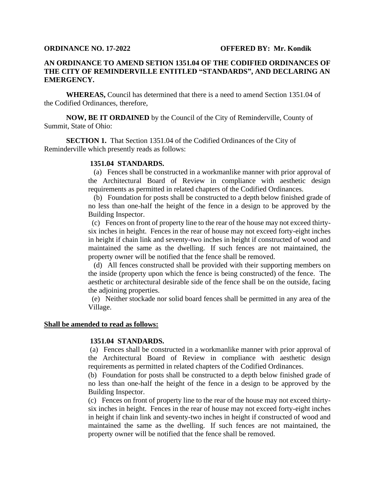# **ORDINANCE NO. 17-2022 OFFERED BY: Mr. Kondik**

# **AN ORDINANCE TO AMEND SETION 1351.04 OF THE CODIFIED ORDINANCES OF THE CITY OF REMINDERVILLE ENTITLED "STANDARDS", AND DECLARING AN EMERGENCY.**

**WHEREAS,** Council has determined that there is a need to amend Section 1351.04 of the Codified Ordinances, therefore,

**NOW, BE IT ORDAINED** by the Council of the City of Reminderville, County of Summit, State of Ohio:

**SECTION 1.** That Section 1351.04 of the Codified Ordinances of the City of Reminderville which presently reads as follows:

### **1351.04 STANDARDS.**

 (a) Fences shall be constructed in a workmanlike manner with prior approval of the Architectural Board of Review in compliance with aesthetic design requirements as permitted in related chapters of the Codified Ordinances.

(b) Foundation for posts shall be constructed to a depth below finished grade of no less than one-half the height of the fence in a design to be approved by the Building Inspector.

(c) Fences on front of property line to the rear of the house may not exceed thirtysix inches in height. Fences in the rear of house may not exceed forty-eight inches in height if chain link and seventy-two inches in height if constructed of wood and maintained the same as the dwelling. If such fences are not maintained, the property owner will be notified that the fence shall be removed.

(d) All fences constructed shall be provided with their supporting members on the inside (property upon which the fence is being constructed) of the fence. The aesthetic or architectural desirable side of the fence shall be on the outside, facing the adjoining properties.

(e) Neither stockade nor solid board fences shall be permitted in any area of the Village.

## **Shall be amended to read as follows:**

# **1351.04 STANDARDS.**

(a) Fences shall be constructed in a workmanlike manner with prior approval of the Architectural Board of Review in compliance with aesthetic design requirements as permitted in related chapters of the Codified Ordinances.

(b) Foundation for posts shall be constructed to a depth below finished grade of no less than one-half the height of the fence in a design to be approved by the Building Inspector.

(c) Fences on front of property line to the rear of the house may not exceed thirtysix inches in height. Fences in the rear of house may not exceed forty-eight inches in height if chain link and seventy-two inches in height if constructed of wood and maintained the same as the dwelling. If such fences are not maintained, the property owner will be notified that the fence shall be removed.